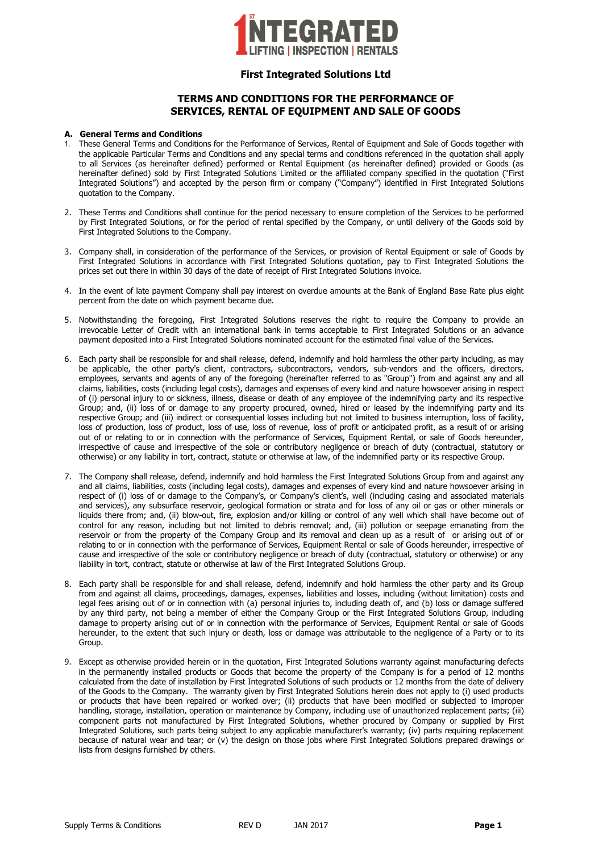

### **TERMS AND CONDITIONS FOR THE PERFORMANCE OF SERVICES, RENTAL OF EQUIPMENT AND SALE OF GOODS**

### **A. General Terms and Conditions**

- 1. These General Terms and Conditions for the Performance of Services, Rental of Equipment and Sale of Goods together with the applicable Particular Terms and Conditions and any special terms and conditions referenced in the quotation shall apply to all Services (as hereinafter defined) performed or Rental Equipment (as hereinafter defined) provided or Goods (as hereinafter defined) sold by First Integrated Solutions Limited or the affiliated company specified in the quotation ("First Integrated Solutions") and accepted by the person firm or company ("Company") identified in First Integrated Solutions quotation to the Company.
- 2. These Terms and Conditions shall continue for the period necessary to ensure completion of the Services to be performed by First Integrated Solutions, or for the period of rental specified by the Company, or until delivery of the Goods sold by First Integrated Solutions to the Company.
- 3. Company shall, in consideration of the performance of the Services, or provision of Rental Equipment or sale of Goods by First Integrated Solutions in accordance with First Integrated Solutions quotation, pay to First Integrated Solutions the prices set out there in within 30 days of the date of receipt of First Integrated Solutions invoice.
- 4. In the event of late payment Company shall pay interest on overdue amounts at the Bank of England Base Rate plus eight percent from the date on which payment became due.
- 5. Notwithstanding the foregoing, First Integrated Solutions reserves the right to require the Company to provide an irrevocable Letter of Credit with an international bank in terms acceptable to First Integrated Solutions or an advance payment deposited into a First Integrated Solutions nominated account for the estimated final value of the Services.
- 6. Each party shall be responsible for and shall release, defend, indemnify and hold harmless the other party including, as may be applicable, the other party's client, contractors, subcontractors, vendors, sub-vendors and the officers, directors, employees, servants and agents of any of the foregoing (hereinafter referred to as "Group") from and against any and all claims, liabilities, costs (including legal costs), damages and expenses of every kind and nature howsoever arising in respect of (i) personal injury to or sickness, illness, disease or death of any employee of the indemnifying party and its respective Group; and, (ii) loss of or damage to any property procured, owned, hired or leased by the indemnifying party and its respective Group; and (iii) indirect or consequential losses including but not limited to business interruption, loss of facility, loss of production, loss of product, loss of use, loss of revenue, loss of profit or anticipated profit, as a result of or arising out of or relating to or in connection with the performance of Services, Equipment Rental, or sale of Goods hereunder, irrespective of cause and irrespective of the sole or contributory negligence or breach of duty (contractual, statutory or otherwise) or any liability in tort, contract, statute or otherwise at law, of the indemnified party or its respective Group.
- 7. The Company shall release, defend, indemnify and hold harmless the First Integrated Solutions Group from and against any and all claims, liabilities, costs (including legal costs), damages and expenses of every kind and nature howsoever arising in respect of (i) loss of or damage to the Company's, or Company's client's, well (including casing and associated materials and services), any subsurface reservoir, geological formation or strata and for loss of any oil or gas or other minerals or liquids there from; and, (ii) blow-out, fire, explosion and/or killing or control of any well which shall have become out of control for any reason, including but not limited to debris removal; and, (iii) pollution or seepage emanating from the reservoir or from the property of the Company Group and its removal and clean up as a result of or arising out of or relating to or in connection with the performance of Services, Equipment Rental or sale of Goods hereunder, irrespective of cause and irrespective of the sole or contributory negligence or breach of duty (contractual, statutory or otherwise) or any liability in tort, contract, statute or otherwise at law of the First Integrated Solutions Group.
- 8. Each party shall be responsible for and shall release, defend, indemnify and hold harmless the other party and its Group from and against all claims, proceedings, damages, expenses, liabilities and losses, including (without limitation) costs and legal fees arising out of or in connection with (a) personal injuries to, including death of, and (b) loss or damage suffered by any third party, not being a member of either the Company Group or the First Integrated Solutions Group, including damage to property arising out of or in connection with the performance of Services, Equipment Rental or sale of Goods hereunder, to the extent that such injury or death, loss or damage was attributable to the negligence of a Party or to its Group.
- 9. Except as otherwise provided herein or in the quotation, First Integrated Solutions warranty against manufacturing defects in the permanently installed products or Goods that become the property of the Company is for a period of 12 months calculated from the date of installation by First Integrated Solutions of such products or 12 months from the date of delivery of the Goods to the Company. The warranty given by First Integrated Solutions herein does not apply to (i) used products or products that have been repaired or worked over; (ii) products that have been modified or subjected to improper handling, storage, installation, operation or maintenance by Company, including use of unauthorized replacement parts; (iii) component parts not manufactured by First Integrated Solutions, whether procured by Company or supplied by First Integrated Solutions, such parts being subject to any applicable manufacturer's warranty; (iv) parts requiring replacement because of natural wear and tear; or (v) the design on those jobs where First Integrated Solutions prepared drawings or lists from designs furnished by others.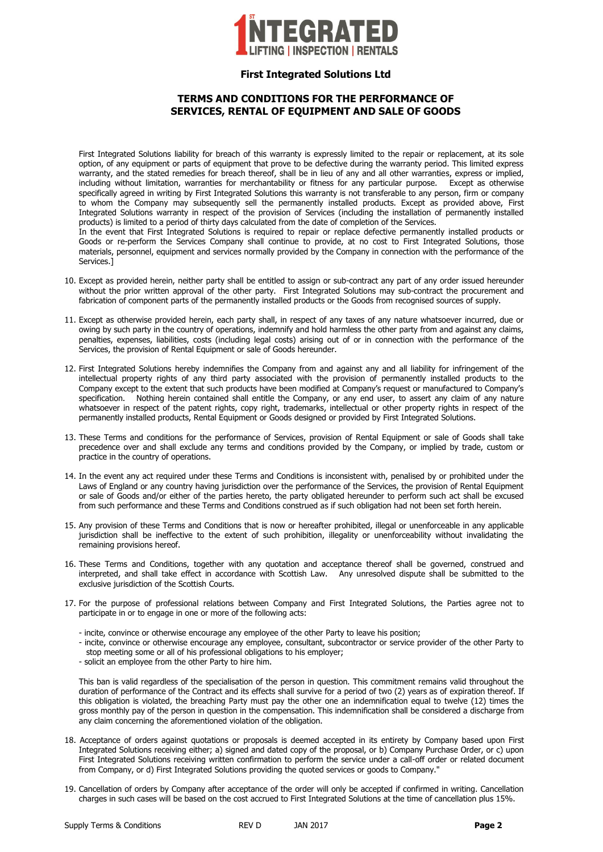

## **TERMS AND CONDITIONS FOR THE PERFORMANCE OF SERVICES, RENTAL OF EQUIPMENT AND SALE OF GOODS**

First Integrated Solutions liability for breach of this warranty is expressly limited to the repair or replacement, at its sole option, of any equipment or parts of equipment that prove to be defective during the warranty period. This limited express warranty, and the stated remedies for breach thereof, shall be in lieu of any and all other warranties, express or implied, including without limitation, warranties for merchantability or fitness for any particular purpose. Except as otherwise specifically agreed in writing by First Integrated Solutions this warranty is not transferable to any person, firm or company to whom the Company may subsequently sell the permanently installed products. Except as provided above, First Integrated Solutions warranty in respect of the provision of Services (including the installation of permanently installed products) is limited to a period of thirty days calculated from the date of completion of the Services.

In the event that First Integrated Solutions is required to repair or replace defective permanently installed products or Goods or re-perform the Services Company shall continue to provide, at no cost to First Integrated Solutions, those materials, personnel, equipment and services normally provided by the Company in connection with the performance of the Services.]

- 10. Except as provided herein, neither party shall be entitled to assign or sub-contract any part of any order issued hereunder without the prior written approval of the other party. First Integrated Solutions may sub-contract the procurement and fabrication of component parts of the permanently installed products or the Goods from recognised sources of supply.
- 11. Except as otherwise provided herein, each party shall, in respect of any taxes of any nature whatsoever incurred, due or owing by such party in the country of operations, indemnify and hold harmless the other party from and against any claims, penalties, expenses, liabilities, costs (including legal costs) arising out of or in connection with the performance of the Services, the provision of Rental Equipment or sale of Goods hereunder.
- 12. First Integrated Solutions hereby indemnifies the Company from and against any and all liability for infringement of the intellectual property rights of any third party associated with the provision of permanently installed products to the Company except to the extent that such products have been modified at Company's request or manufactured to Company's specification. Nothing herein contained shall entitle the Company, or any end user, to assert any claim of any nature whatsoever in respect of the patent rights, copy right, trademarks, intellectual or other property rights in respect of the permanently installed products, Rental Equipment or Goods designed or provided by First Integrated Solutions.
- 13. These Terms and conditions for the performance of Services, provision of Rental Equipment or sale of Goods shall take precedence over and shall exclude any terms and conditions provided by the Company, or implied by trade, custom or practice in the country of operations.
- 14. In the event any act required under these Terms and Conditions is inconsistent with, penalised by or prohibited under the Laws of England or any country having jurisdiction over the performance of the Services, the provision of Rental Equipment or sale of Goods and/or either of the parties hereto, the party obligated hereunder to perform such act shall be excused from such performance and these Terms and Conditions construed as if such obligation had not been set forth herein.
- 15. Any provision of these Terms and Conditions that is now or hereafter prohibited, illegal or unenforceable in any applicable jurisdiction shall be ineffective to the extent of such prohibition, illegality or unenforceability without invalidating the remaining provisions hereof.
- 16. These Terms and Conditions, together with any quotation and acceptance thereof shall be governed, construed and interpreted, and shall take effect in accordance with Scottish Law. Any unresolved dispute shall be submitted to the exclusive jurisdiction of the Scottish Courts.
- 17. For the purpose of professional relations between Company and First Integrated Solutions, the Parties agree not to participate in or to engage in one or more of the following acts:
	- incite, convince or otherwise encourage any employee of the other Party to leave his position;
	- incite, convince or otherwise encourage any employee, consultant, subcontractor or service provider of the other Party to stop meeting some or all of his professional obligations to his employer;
	- solicit an employee from the other Party to hire him.

This ban is valid regardless of the specialisation of the person in question. This commitment remains valid throughout the duration of performance of the Contract and its effects shall survive for a period of two (2) years as of expiration thereof. If this obligation is violated, the breaching Party must pay the other one an indemnification equal to twelve (12) times the gross monthly pay of the person in question in the compensation. This indemnification shall be considered a discharge from any claim concerning the aforementioned violation of the obligation.

- 18. Acceptance of orders against quotations or proposals is deemed accepted in its entirety by Company based upon First Integrated Solutions receiving either; a) signed and dated copy of the proposal, or b) Company Purchase Order, or c) upon First Integrated Solutions receiving written confirmation to perform the service under a call-off order or related document from Company, or d) First Integrated Solutions providing the quoted services or goods to Company."
- 19. Cancellation of orders by Company after acceptance of the order will only be accepted if confirmed in writing. Cancellation charges in such cases will be based on the cost accrued to First Integrated Solutions at the time of cancellation plus 15%.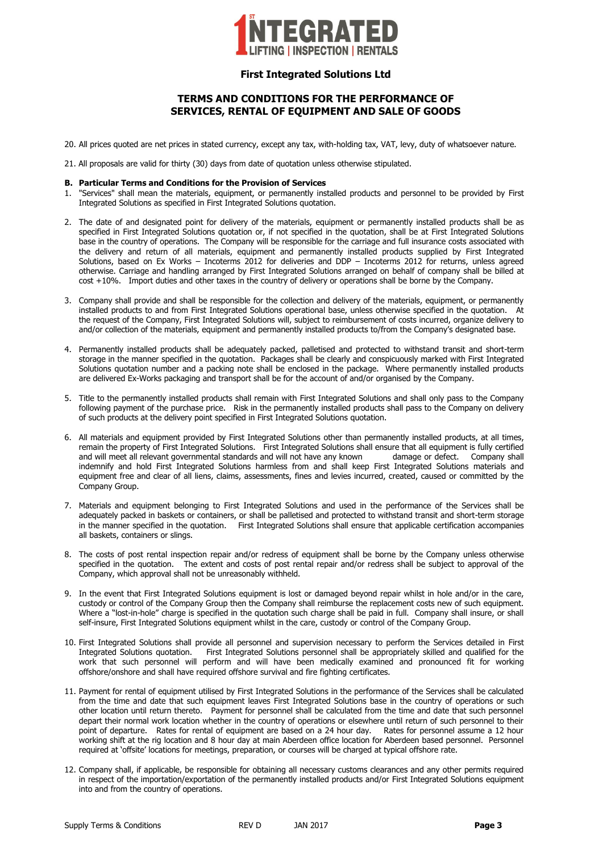

# **TERMS AND CONDITIONS FOR THE PERFORMANCE OF SERVICES, RENTAL OF EQUIPMENT AND SALE OF GOODS**

- 20. All prices quoted are net prices in stated currency, except any tax, with-holding tax, VAT, levy, duty of whatsoever nature.
- 21. All proposals are valid for thirty (30) days from date of quotation unless otherwise stipulated.

### **B. Particular Terms and Conditions for the Provision of Services**

- 1. "Services" shall mean the materials, equipment, or permanently installed products and personnel to be provided by First Integrated Solutions as specified in First Integrated Solutions quotation.
- 2. The date of and designated point for delivery of the materials, equipment or permanently installed products shall be as specified in First Integrated Solutions quotation or, if not specified in the quotation, shall be at First Integrated Solutions base in the country of operations. The Company will be responsible for the carriage and full insurance costs associated with the delivery and return of all materials, equipment and permanently installed products supplied by First Integrated Solutions, based on Ex Works – Incoterms 2012 for deliveries and DDP – Incoterms 2012 for returns, unless agreed otherwise. Carriage and handling arranged by First Integrated Solutions arranged on behalf of company shall be billed at cost +10%. Import duties and other taxes in the country of delivery or operations shall be borne by the Company.
- 3. Company shall provide and shall be responsible for the collection and delivery of the materials, equipment, or permanently installed products to and from First Integrated Solutions operational base, unless otherwise specified in the quotation. At the request of the Company, First Integrated Solutions will, subject to reimbursement of costs incurred, organize delivery to and/or collection of the materials, equipment and permanently installed products to/from the Company's designated base.
- 4. Permanently installed products shall be adequately packed, palletised and protected to withstand transit and short-term storage in the manner specified in the quotation. Packages shall be clearly and conspicuously marked with First Integrated Solutions quotation number and a packing note shall be enclosed in the package. Where permanently installed products are delivered Ex-Works packaging and transport shall be for the account of and/or organised by the Company.
- 5. Title to the permanently installed products shall remain with First Integrated Solutions and shall only pass to the Company following payment of the purchase price. Risk in the permanently installed products shall pass to the Company on delivery of such products at the delivery point specified in First Integrated Solutions quotation.
- 6. All materials and equipment provided by First Integrated Solutions other than permanently installed products, at all times, remain the property of First Integrated Solutions. First Integrated Solutions shall ensure that all equipment is fully certified and will meet all relevant governmental standards and will not have any known damage or defect. Company shall indemnify and hold First Integrated Solutions harmless from and shall keep First Integrated Solutions materials and equipment free and clear of all liens, claims, assessments, fines and levies incurred, created, caused or committed by the Company Group.
- 7. Materials and equipment belonging to First Integrated Solutions and used in the performance of the Services shall be adequately packed in baskets or containers, or shall be palletised and protected to withstand transit and short-term storage in the manner specified in the quotation. First Integrated Solutions shall ensure that applicable certification accompanies all baskets, containers or slings.
- 8. The costs of post rental inspection repair and/or redress of equipment shall be borne by the Company unless otherwise specified in the quotation. The extent and costs of post rental repair and/or redress shall be subject to approval of the Company, which approval shall not be unreasonably withheld.
- 9. In the event that First Integrated Solutions equipment is lost or damaged beyond repair whilst in hole and/or in the care, custody or control of the Company Group then the Company shall reimburse the replacement costs new of such equipment. Where a "lost-in-hole" charge is specified in the quotation such charge shall be paid in full. Company shall insure, or shall self-insure, First Integrated Solutions equipment whilst in the care, custody or control of the Company Group.
- 10. First Integrated Solutions shall provide all personnel and supervision necessary to perform the Services detailed in First Integrated Solutions quotation. First Integrated Solutions personnel shall be appropriately skilled and qualified for the work that such personnel will perform and will have been medically examined and pronounced fit for working offshore/onshore and shall have required offshore survival and fire fighting certificates.
- 11. Payment for rental of equipment utilised by First Integrated Solutions in the performance of the Services shall be calculated from the time and date that such equipment leaves First Integrated Solutions base in the country of operations or such other location until return thereto. Payment for personnel shall be calculated from the time and date that such personnel depart their normal work location whether in the country of operations or elsewhere until return of such personnel to their point of departure. Rates for rental of equipment are based on a 24 hour day. Rates for personnel assume a 12 hour working shift at the rig location and 8 hour day at main Aberdeen office location for Aberdeen based personnel. Personnel required at 'offsite' locations for meetings, preparation, or courses will be charged at typical offshore rate.
- 12. Company shall, if applicable, be responsible for obtaining all necessary customs clearances and any other permits required in respect of the importation/exportation of the permanently installed products and/or First Integrated Solutions equipment into and from the country of operations.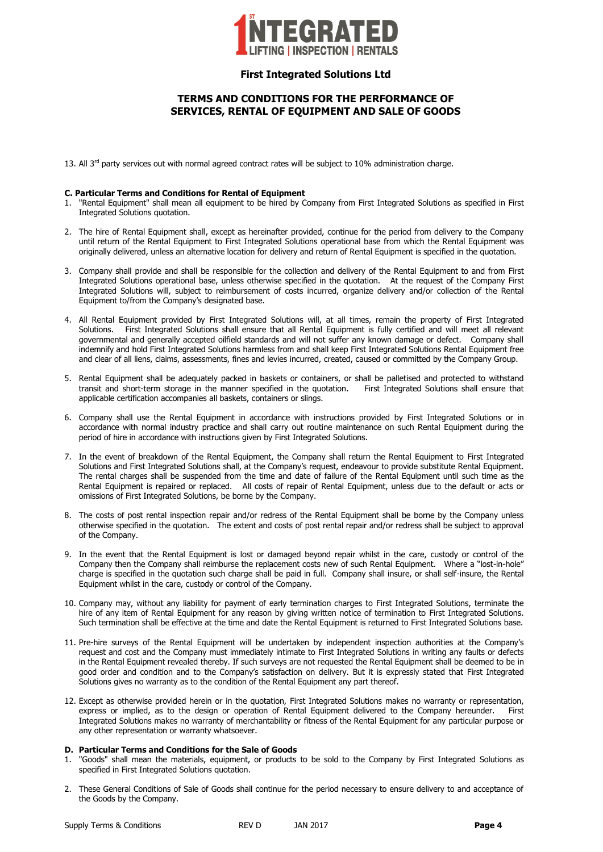

# **TERMS AND CONDITIONS FOR THE PERFORMANCE OF SERVICES, RENTAL OF EQUIPMENT AND SALE OF GOODS**

13. All  $3<sup>rd</sup>$  party services out with normal agreed contract rates will be subject to 10% administration charge.

#### **C. Particular Terms and Conditions for Rental of Equipment**

- 1. "Rental Equipment" shall mean all equipment to be hired by Company from First Integrated Solutions as specified in First Integrated Solutions quotation.
- 2. The hire of Rental Equipment shall, except as hereinafter provided, continue for the period from delivery to the Company until return of the Rental Equipment to First Integrated Solutions operational base from which the Rental Equipment was originally delivered, unless an alternative location for delivery and return of Rental Equipment is specified in the quotation.
- 3. Company shall provide and shall be responsible for the collection and delivery of the Rental Equipment to and from First Integrated Solutions operational base, unless otherwise specified in the quotation. At the request of the Company First Integrated Solutions will, subject to reimbursement of costs incurred, organize delivery and/or collection of the Rental Equipment to/from the Company's designated base.
- 4. All Rental Equipment provided by First Integrated Solutions will, at all times, remain the property of First Integrated Solutions. First Integrated Solutions shall ensure that all Rental Equipment is fully certified and will meet all relevant governmental and generally accepted oilfield standards and will not suffer any known damage or defect. Company shall indemnify and hold First Integrated Solutions harmless from and shall keep First Integrated Solutions Rental Equipment free and clear of all liens, claims, assessments, fines and levies incurred, created, caused or committed by the Company Group.
- 5. Rental Equipment shall be adequately packed in baskets or containers, or shall be palletised and protected to withstand transit and short-term storage in the manner specified in the quotation. First Integrated Solutions shall ensure that applicable certification accompanies all baskets, containers or slings.
- 6. Company shall use the Rental Equipment in accordance with instructions provided by First Integrated Solutions or in accordance with normal industry practice and shall carry out routine maintenance on such Rental Equipment during the period of hire in accordance with instructions given by First Integrated Solutions.
- 7. In the event of breakdown of the Rental Equipment, the Company shall return the Rental Equipment to First Integrated Solutions and First Integrated Solutions shall, at the Company's request, endeavour to provide substitute Rental Equipment. The rental charges shall be suspended from the time and date of failure of the Rental Equipment until such time as the Rental Equipment is repaired or replaced. All costs of repair of Rental Equipment, unless due to the default or acts or omissions of First Integrated Solutions, be borne by the Company.
- 8. The costs of post rental inspection repair and/or redress of the Rental Equipment shall be borne by the Company unless otherwise specified in the quotation. The extent and costs of post rental repair and/or redress shall be subject to approval of the Company.
- 9. In the event that the Rental Equipment is lost or damaged beyond repair whilst in the care, custody or control of the Company then the Company shall reimburse the replacement costs new of such Rental Equipment. Where a "lost-in-hole" charge is specified in the quotation such charge shall be paid in full. Company shall insure, or shall self-insure, the Rental Equipment whilst in the care, custody or control of the Company.
- 10. Company may, without any liability for payment of early termination charges to First Integrated Solutions, terminate the hire of any item of Rental Equipment for any reason by giving written notice of termination to First Integrated Solutions. Such termination shall be effective at the time and date the Rental Equipment is returned to First Integrated Solutions base.
- 11. Pre-hire surveys of the Rental Equipment will be undertaken by independent inspection authorities at the Company's request and cost and the Company must immediately intimate to First Integrated Solutions in writing any faults or defects in the Rental Equipment revealed thereby. If such surveys are not requested the Rental Equipment shall be deemed to be in good order and condition and to the Company's satisfaction on delivery. But it is expressly stated that First Integrated Solutions gives no warranty as to the condition of the Rental Equipment any part thereof.
- 12. Except as otherwise provided herein or in the quotation, First Integrated Solutions makes no warranty or representation, express or implied, as to the design or operation of Rental Equipment delivered to the Company hereunder. First Integrated Solutions makes no warranty of merchantability or fitness of the Rental Equipment for any particular purpose or any other representation or warranty whatsoever.

#### **D. Particular Terms and Conditions for the Sale of Goods**

- 1. "Goods" shall mean the materials, equipment, or products to be sold to the Company by First Integrated Solutions as specified in First Integrated Solutions quotation.
- 2. These General Conditions of Sale of Goods shall continue for the period necessary to ensure delivery to and acceptance of the Goods by the Company.